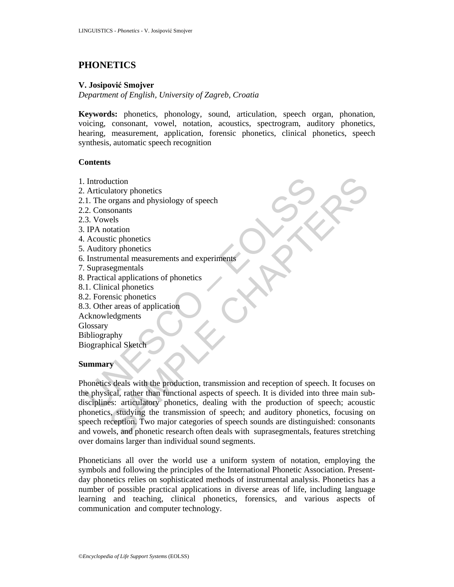# **PHONETICS**

### **V. Josipović Smojver**

*Department of English, University of Zagreb, Croatia* 

**Keywords:** phonetics, phonology, sound, articulation, speech organ, phonation, voicing, consonant, vowel, notation, acoustics, spectrogram, auditory phonetics, hearing, measurement, application, forensic phonetics, clinical phonetics, speech synthesis, automatic speech recognition

#### **Contents**

- 1. Introduction
- 2. Articulatory phonetics
- 2.1. The organs and physiology of speech
- 2.2. Consonants
- 2.3. Vowels
- 3. IPA notation
- 4. Acoustic phonetics
- 5. Auditory phonetics
- 6. Instrumental measurements and experiments
- 7. Suprasegmentals
- 8. Practical applications of phonetics
- 8.1. Clinical phonetics
- 8.2. Forensic phonetics
- 8.3. Other areas of application
- Acknowledgments

**Glossary** 

Bibliography

Biographical Sketch

#### **Summary**

Introduction<br>
Articulatory phonetics<br>
2. Consonants<br>
2. Consonants<br>
3. Vowels<br>
2. Consonants<br>
3. Vowels<br>
1PA notation<br>
Acoustic phonetics<br>
Anditory phonetics<br>
Instrumental measurements and experiments<br>
Supprasementals<br>
2. Example and physiology of speech<br>
organs and physiology of speech<br>
organs and physiology of speech<br>
relation<br>
velocities<br>
segmentals<br>
segmentals<br>
segmentals<br>
segmentals<br>
and monotics<br>
segmentals<br>
and phonetics<br>
rareas of a Phonetics deals with the production, transmission and reception of speech. It focuses on the physical, rather than functional aspects of speech. It is divided into three main subdisciplines: articulatory phonetics, dealing with the production of speech; acoustic phonetics, studying the transmission of speech; and auditory phonetics, focusing on speech reception. Two major categories of speech sounds are distinguished: consonants and vowels, and phonetic research often deals with suprasegmentals, features stretching over domains larger than individual sound segments.

Phoneticians all over the world use a uniform system of notation, employing the symbols and following the principles of the International Phonetic Association. Presentday phonetics relies on sophisticated methods of instrumental analysis. Phonetics has a number of possible practical applications in diverse areas of life, including language learning and teaching, clinical phonetics, forensics, and various aspects of communication and computer technology.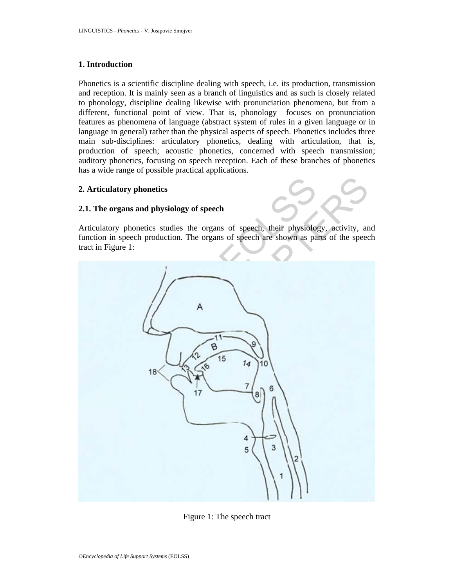#### **1. Introduction**

Phonetics is a scientific discipline dealing with speech, i.e. its production, transmission and reception. It is mainly seen as a branch of linguistics and as such is closely related to phonology, discipline dealing likewise with pronunciation phenomena, but from a different, functional point of view. That is, phonology focuses on pronunciation features as phenomena of language (abstract system of rules in a given language or in language in general) rather than the physical aspects of speech. Phonetics includes three main sub-disciplines: articulatory phonetics, dealing with articulation, that is, production of speech; acoustic phonetics, concerned with speech transmission; auditory phonetics, focusing on speech reception. Each of these branches of phonetics has a wide range of possible practical applications.

### **2. Articulatory phonetics**

#### **2.1. The organs and physiology of speech**

Articulatory phonetics studies the organs of speech, their physiology, activity, and function in speech production. The organs of speech are shown as parts of the speech tract in Figure 1:



Figure 1: The speech tract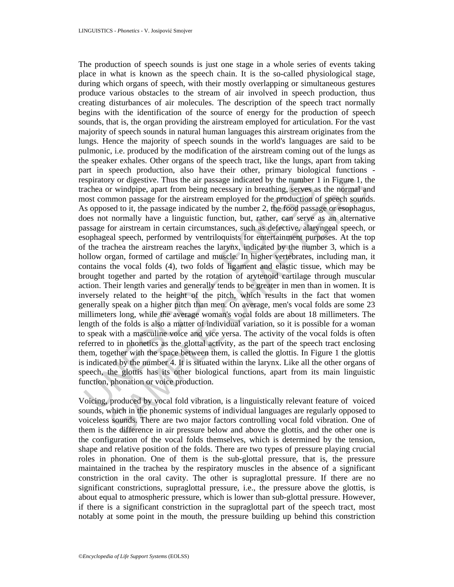spiratory or digestive. Thus the air passage indicated by the number<br>achea or windpipe, apart from being necessary in breathing, serves a<br>const common passage for the airstream employed for the production of<br>as opposed to ry or digestive. Thus the air passage indicated by the number 1 in Figure 1, th<br>
windpipe, apart from being necessary in breathing, serves as the normal an<br>
momo passage for the airstream employed for the production of spe The production of speech sounds is just one stage in a whole series of events taking place in what is known as the speech chain. It is the so-called physiological stage, during which organs of speech, with their mostly overlapping or simultaneous gestures produce various obstacles to the stream of air involved in speech production, thus creating disturbances of air molecules. The description of the speech tract normally begins with the identification of the source of energy for the production of speech sounds, that is, the organ providing the airstream employed for articulation. For the vast majority of speech sounds in natural human languages this airstream originates from the lungs. Hence the majority of speech sounds in the world's languages are said to be pulmonic, i.e. produced by the modification of the airstream coming out of the lungs as the speaker exhales. Other organs of the speech tract, like the lungs, apart from taking part in speech production, also have their other, primary biological functions respiratory or digestive. Thus the air passage indicated by the number 1 in Figure 1, the trachea or windpipe, apart from being necessary in breathing, serves as the normal and most common passage for the airstream employed for the production of speech sounds. As opposed to it, the passage indicated by the number 2, the food passage or esophagus, does not normally have a linguistic function, but, rather, can serve as an alternative passage for airstream in certain circumstances, such as defective, alaryngeal speech, or esophageal speech, performed by ventriloquists for entertainment purposes. At the top of the trachea the airstream reaches the larynx, indicated by the number 3, which is a hollow organ, formed of cartilage and muscle. In higher vertebrates, including man, it contains the vocal folds (4), two folds of ligament and elastic tissue, which may be brought together and parted by the rotation of arytenoid cartilage through muscular action. Their length varies and generally tends to be greater in men than in women. It is inversely related to the height of the pitch, which results in the fact that women generally speak on a higher pitch than men. On average, men's vocal folds are some 23 millimeters long, while the average woman's vocal folds are about 18 millimeters. The length of the folds is also a matter of individual variation, so it is possible for a woman to speak with a masculine voice and vice versa. The activity of the vocal folds is often referred to in phonetics as the glottal activity, as the part of the speech tract enclosing them, together with the space between them, is called the glottis. In Figure 1 the glottis is indicated by the number 4. It is situated within the larynx. Like all the other organs of speech, the glottis has its other biological functions, apart from its main linguistic function, phonation or voice production.

Voicing, produced by vocal fold vibration, is a linguistically relevant feature of voiced sounds, which in the phonemic systems of individual languages are regularly opposed to voiceless sounds. There are two major factors controlling vocal fold vibration. One of them is the difference in air pressure below and above the glottis, and the other one is the configuration of the vocal folds themselves, which is determined by the tension, shape and relative position of the folds. There are two types of pressure playing crucial roles in phonation. One of them is the sub-glottal pressure, that is, the pressure maintained in the trachea by the respiratory muscles in the absence of a significant constriction in the oral cavity. The other is supraglottal pressure. If there are no significant constrictions, supraglottal pressure, i.e., the pressure above the glottis, is about equal to atmospheric pressure, which is lower than sub-glottal pressure. However, if there is a significant constriction in the supraglottal part of the speech tract, most notably at some point in the mouth, the pressure building up behind this constriction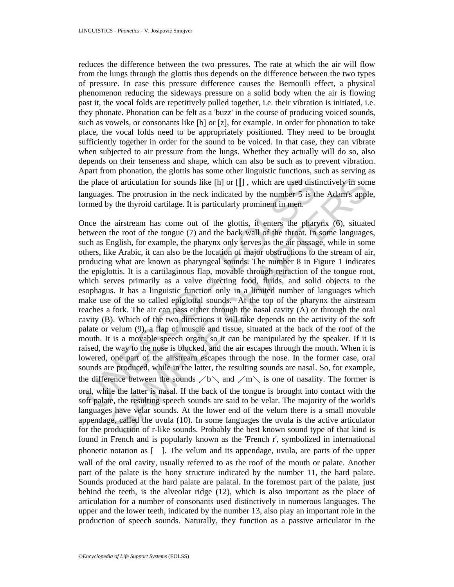reduces the difference between the two pressures. The rate at which the air will flow from the lungs through the glottis thus depends on the difference between the two types of pressure. In case this pressure difference causes the Bernoulli effect, a physical phenomenon reducing the sideways pressure on a solid body when the air is flowing past it, the vocal folds are repetitively pulled together, i.e. their vibration is initiated, i.e. they phonate. Phonation can be felt as a 'buzz' in the course of producing voiced sounds, such as vowels, or consonants like [b] or [z], for example. In order for phonation to take place, the vocal folds need to be appropriately positioned. They need to be brought sufficiently together in order for the sound to be voiced. In that case, they can vibrate when subjected to air pressure from the lungs. Whether they actually will do so, also depends on their tenseness and shape, which can also be such as to prevent vibration. Apart from phonation, the glottis has some other linguistic functions, such as serving as the place of articulation for sounds like  $[h]$  or  $[[$ ], which are used distinctively in some languages. The protrusion in the neck indicated by the number 5 is the Adam's apple, formed by the thyroid cartilage. It is particularly prominent in men.

ine place of articulation for sounds like [h] or [[], which are used distinguages. The protrusion in the neck indicated by the number 5 is the magninguages. The protrusion in the neck indicated by the number 5 is the prot of articulation for sounds like [h] or [[], which are used distinctively in soms. The protrusion in the neck indicated by the number 5 is the Adam's apply the thyroid cartilage. It is particularly prominent in men.<br>
2 air Once the airstream has come out of the glottis, it enters the pharynx (6), situated between the root of the tongue (7) and the back wall of the throat. In some languages, such as English, for example, the pharynx only serves as the air passage, while in some others, like Arabic, it can also be the location of major obstructions to the stream of air, producing what are known as pharyngeal sounds. The number 8 in Figure 1 indicates the epiglottis. It is a cartilaginous flap, movable through retraction of the tongue root, which serves primarily as a valve directing food, fluids, and solid objects to the esophagus. It has a linguistic function only in a limited number of languages which make use of the so called epiglottal sounds. At the top of the pharynx the airstream reaches a fork. The air can pass either through the nasal cavity (A) or through the oral cavity (B). Which of the two directions it will take depends on the activity of the soft palate or velum (9), a flap of muscle and tissue, situated at the back of the roof of the mouth. It is a movable speech organ, so it can be manipulated by the speaker. If it is raised, the way to the nose is blocked, and the air escapes through the mouth. When it is lowered, one part of the airstream escapes through the nose. In the former case, oral sounds are produced, while in the latter, the resulting sounds are nasal. So, for example, the difference between the sounds  $\&b\&$  and  $\&w\&$  is one of nasality. The former is oral, while the latter is nasal. If the back of the tongue is brought into contact with the soft palate, the resulting speech sounds are said to be velar. The majority of the world's languages have velar sounds. At the lower end of the velum there is a small movable appendage, called the uvula (10). In some languages the uvula is the active articulator for the production of r-like sounds. Probably the best known sound type of that kind is found in French and is popularly known as the 'French r', symbolized in international phonetic notation as [ ]. The velum and its appendage, uvula, are parts of the upper wall of the oral cavity, usually referred to as the roof of the mouth or palate. Another part of the palate is the bony structure indicated by the number 11, the hard palate. Sounds produced at the hard palate are palatal. In the foremost part of the palate, just behind the teeth, is the alveolar ridge (12), which is also important as the place of articulation for a number of consonants used distinctively in numerous languages. The upper and the lower teeth, indicated by the number 13, also play an important role in the production of speech sounds. Naturally, they function as a passive articulator in the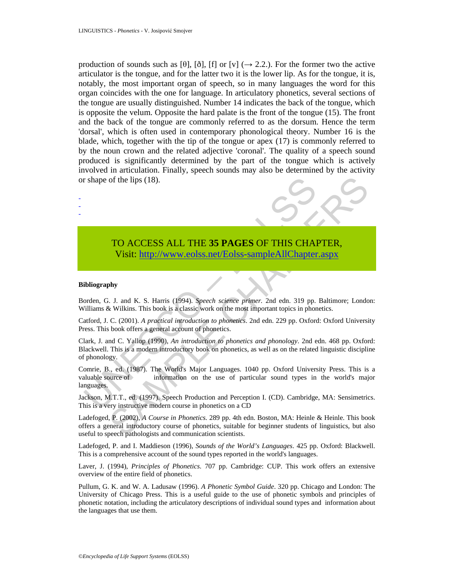production of sounds such as [θ], [ð], [f] or [v] ( $\rightarrow$  2.2.). For the former two the active articulator is the tongue, and for the latter two it is the lower lip. As for the tongue, it is, notably, the most important organ of speech, so in many languages the word for this organ coincides with the one for language. In articulatory phonetics, several sections of the tongue are usually distinguished. Number 14 indicates the back of the tongue, which is opposite the velum. Opposite the hard palate is the front of the tongue (15). The front and the back of the tongue are commonly referred to as the dorsum. Hence the term 'dorsal', which is often used in contemporary phonological theory. Number 16 is the blade, which, together with the tip of the tongue or apex (17) is commonly referred to by the noun crown and the related adjective 'coronal'. The quality of a speech sound produced is significantly determined by the part of the tongue which is actively involved in articulation. Finally, speech sounds may also be determined by the activity or shape of the lips (18).



## TO ACCESS ALL THE **35 PAGES** OF THIS CHAPTER, Visit: http://www.eolss.net/Eolss-sampleAllChapter.aspx

#### **Bibliography**

- - -

Borden, G. J. and K. S. Harris (1994). *Speech science primer.* 2nd edn. 319 pp. Baltimore; London: Williams & Wilkins. This book is a classic work on the most important topics in phonetics.

Catford, J. C. (2001). *A practical introduction to phonetics*. 2nd edn. 229 pp. Oxford: Oxford University Press. This book offers a general account of phonetics.

The shape of the lips (18).<br>
TO ACCESS ALL THE 35 PAGES OF THIS CHAI<br>
Visit: http://www.eolss.net/Eolss-sampleAllChapter<br>
ibliography<br>
orden, G. J. and K. S. Harris (1994). Speech science primer. 2nd edn. 319 pp.<br>
Tilliams SAMPLE CH[APT](https://www.eolss.net/ebooklib/sc_cart.aspx?File=E6-91-01)ERS Clark, J. and C. Yallop (1990), *An introduction to phonetics and phonology*. 2nd edn. 468 pp. Oxford: Blackwell. This is a modern introductory book on phonetics, as well as on the related linguistic discipline of phonology.

Comrie, B., ed. (1987). The World's Major Languages. 1040 pp. Oxford University Press. This is a valuable source of information on the use of particular sound types in the world's major languages.

Jackson, M.T.T., ed. (1997). Speech Production and Perception I. (CD). Cambridge, MA: Sensimetrics. This is a very instructive modern course in phonetics on a CD

Ladefoged, P. (2002), *A Course in Phonetics.* 289 pp. 4th edn. Boston, MA: Heinle & Heinle. This book offers a general introductory course of phonetics, suitable for beginner students of linguistics, but also useful to speech pathologists and communication scientists.

Ladefoged, P. and I. Maddieson (1996), *Sounds of the World's Languages*. 425 pp. Oxford: Blackwell. This is a comprehensive account of the sound types reported in the world's languages.

Laver, J. (1994), *Principles of Phonetics*. 707 pp. Cambridge: CUP. This work offers an extensive overview of the entire field of phonetics.

Pullum, G. K. and W. A. Ladusaw (1996). *A Phonetic Symbol Guide*. 320 pp. Chicago and London: The University of Chicago Press. This is a useful guide to the use of phonetic symbols and principles of phonetic notation, including the articulatory descriptions of individual sound types and information about the languages that use them.